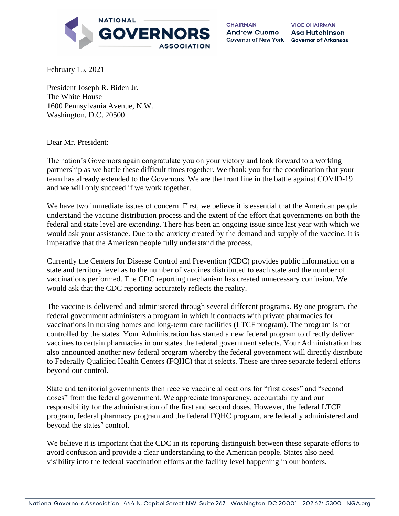

**CHAIRMAN** Andrew Cuomo

**VICE CHAIRMAN** Asa Hutchinson Governor of New York Governor of Arkansas

February 15, 2021

President Joseph R. Biden Jr. The White House 1600 Pennsylvania Avenue, N.W. Washington, D.C. 20500

Dear Mr. President:

The nation's Governors again congratulate you on your victory and look forward to a working partnership as we battle these difficult times together. We thank you for the coordination that your team has already extended to the Governors. We are the front line in the battle against COVID-19 and we will only succeed if we work together.

We have two immediate issues of concern. First, we believe it is essential that the American people understand the vaccine distribution process and the extent of the effort that governments on both the federal and state level are extending. There has been an ongoing issue since last year with which we would ask your assistance. Due to the anxiety created by the demand and supply of the vaccine, it is imperative that the American people fully understand the process.

Currently the Centers for Disease Control and Prevention (CDC) provides public information on a state and territory level as to the number of vaccines distributed to each state and the number of vaccinations performed. The CDC reporting mechanism has created unnecessary confusion. We would ask that the CDC reporting accurately reflects the reality.

The vaccine is delivered and administered through several different programs. By one program, the federal government administers a program in which it contracts with private pharmacies for vaccinations in nursing homes and long-term care facilities (LTCF program). The program is not controlled by the states. Your Administration has started a new federal program to directly deliver vaccines to certain pharmacies in our states the federal government selects. Your Administration has also announced another new federal program whereby the federal government will directly distribute to Federally Qualified Health Centers (FQHC) that it selects. These are three separate federal efforts beyond our control.

State and territorial governments then receive vaccine allocations for "first doses" and "second doses" from the federal government. We appreciate transparency, accountability and our responsibility for the administration of the first and second doses. However, the federal LTCF program, federal pharmacy program and the federal FQHC program, are federally administered and beyond the states' control.

We believe it is important that the CDC in its reporting distinguish between these separate efforts to avoid confusion and provide a clear understanding to the American people. States also need visibility into the federal vaccination efforts at the facility level happening in our borders.